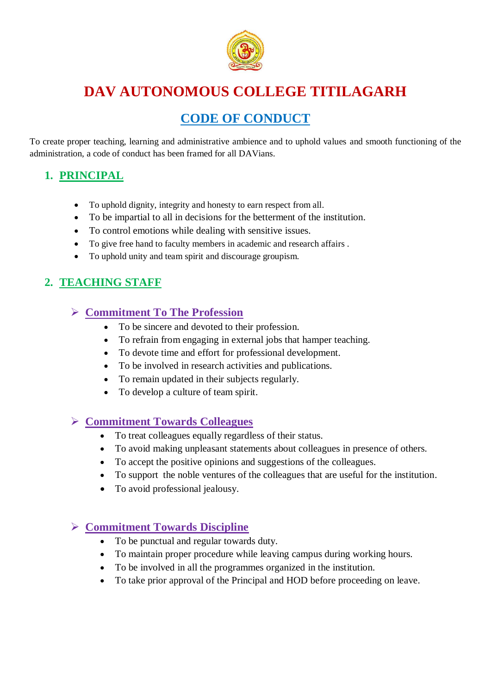

# **DAV AUTONOMOUS COLLEGE TITILAGARH**

# **CODE OF CONDUCT**

To create proper teaching, learning and administrative ambience and to uphold values and smooth functioning of the administration, a code of conduct has been framed for all DAVians.

## **1. PRINCIPAL**

- To uphold dignity, integrity and honesty to earn respect from all.
- To be impartial to all in decisions for the betterment of the institution.
- To control emotions while dealing with sensitive issues.
- To give free hand to faculty members in academic and research affairs .
- To uphold unity and team spirit and discourage groupism.

## **2. TEACHING STAFF**

### **Commitment To The Profession**

- To be sincere and devoted to their profession.
- To refrain from engaging in external jobs that hamper teaching.
- To devote time and effort for professional development.
- To be involved in research activities and publications.
- To remain updated in their subjects regularly.
- To develop a culture of team spirit.

#### **Commitment Towards Colleagues**

- To treat colleagues equally regardless of their status.
- To avoid making unpleasant statements about colleagues in presence of others.
- To accept the positive opinions and suggestions of the colleagues.
- To support the noble ventures of the colleagues that are useful for the institution.
- To avoid professional jealousy.

### **Commitment Towards Discipline**

- To be punctual and regular towards duty.
- To maintain proper procedure while leaving campus during working hours.
- To be involved in all the programmes organized in the institution.
- To take prior approval of the Principal and HOD before proceeding on leave.